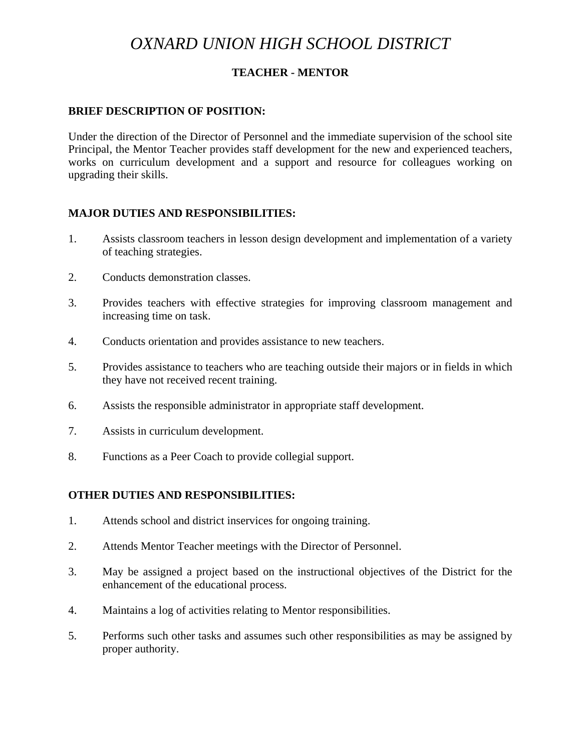# *OXNARD UNION HIGH SCHOOL DISTRICT*

### **TEACHER - MENTOR**

#### **BRIEF DESCRIPTION OF POSITION:**

Under the direction of the Director of Personnel and the immediate supervision of the school site Principal, the Mentor Teacher provides staff development for the new and experienced teachers, works on curriculum development and a support and resource for colleagues working on upgrading their skills.

#### **MAJOR DUTIES AND RESPONSIBILITIES:**

- 1. Assists classroom teachers in lesson design development and implementation of a variety of teaching strategies.
- 2. Conducts demonstration classes.
- 3. Provides teachers with effective strategies for improving classroom management and increasing time on task.
- 4. Conducts orientation and provides assistance to new teachers.
- 5. Provides assistance to teachers who are teaching outside their majors or in fields in which they have not received recent training.
- 6. Assists the responsible administrator in appropriate staff development.
- 7. Assists in curriculum development.
- 8. Functions as a Peer Coach to provide collegial support.

#### **OTHER DUTIES AND RESPONSIBILITIES:**

- 1. Attends school and district inservices for ongoing training.
- 2. Attends Mentor Teacher meetings with the Director of Personnel.
- 3. May be assigned a project based on the instructional objectives of the District for the enhancement of the educational process.
- 4. Maintains a log of activities relating to Mentor responsibilities.
- 5. Performs such other tasks and assumes such other responsibilities as may be assigned by proper authority.